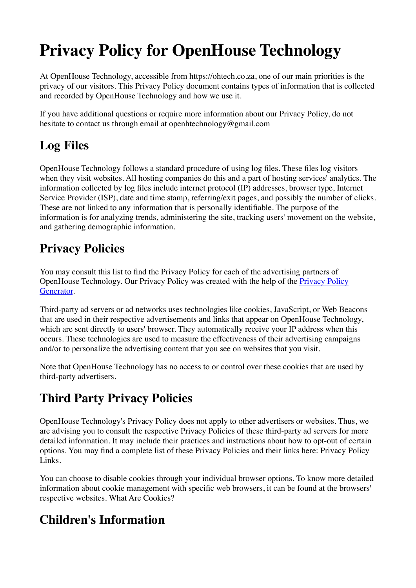# **Privacy Policy for OpenHouse Technology**

At OpenHouse Technology, accessible from https://ohtech.co.za, one of our main priorities is the privacy of our visitors. This Privacy Policy document contains types of information that is collected and recorded by OpenHouse Technology and how we use it.

If you have additional questions or require more information about our Privacy Policy, do not hesitate to contact us through email at openhtechnology@gmail.com

# **Log Files**

OpenHouse Technology follows a standard procedure of using log files. These files log visitors when they visit websites. All hosting companies do this and a part of hosting services' analytics. The information collected by log files include internet protocol (IP) addresses, browser type, Internet Service Provider (ISP), date and time stamp, referring/exit pages, and possibly the number of clicks. These are not linked to any information that is personally identifiable. The purpose of the information is for analyzing trends, administering the site, tracking users' movement on the website, and gathering demographic information.

#### **Privacy Policies**

You may consult this list to find the Privacy Policy for each of the advertising partners of OpenHouse Technology. Our Privacy Policy was created with the help of the [Privacy Policy](https://www.privacypolicygenerator.info/)  [Generator](https://www.privacypolicygenerator.info/).

Third-party ad servers or ad networks uses technologies like cookies, JavaScript, or Web Beacons that are used in their respective advertisements and links that appear on OpenHouse Technology, which are sent directly to users' browser. They automatically receive your IP address when this occurs. These technologies are used to measure the effectiveness of their advertising campaigns and/or to personalize the advertising content that you see on websites that you visit.

Note that OpenHouse Technology has no access to or control over these cookies that are used by third-party advertisers.

### **Third Party Privacy Policies**

OpenHouse Technology's Privacy Policy does not apply to other advertisers or websites. Thus, we are advising you to consult the respective Privacy Policies of these third-party ad servers for more detailed information. It may include their practices and instructions about how to opt-out of certain options. You may find a complete list of these Privacy Policies and their links here: Privacy Policy Links.

You can choose to disable cookies through your individual browser options. To know more detailed information about cookie management with specific web browsers, it can be found at the browsers' respective websites. What Are Cookies?

### **Children's Information**